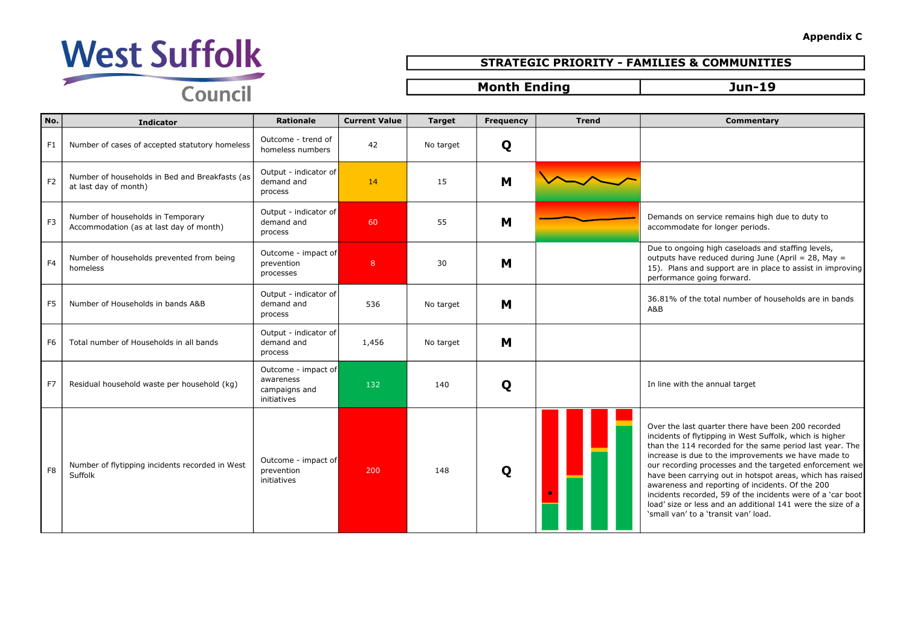### Appendix C

on service remains high due to duty to date for longer periods.

 $\log$  high caseloads and staffing levels, ave reduced during June (April = 28, May = 15 and support are in place to assist in improving nce going forward.

of the total number of households are in bands

last quarter there have been 200 recorded of flytipping in West Suffolk, which is higher 114 recorded for the same period last year. The is due to the improvements we have made to ding processes and the targeted enforcement we n carrying out in hotspot areas, which has raised ss and reporting of incidents. Of the 200 recorded, 59 of the incidents were of a 'car boot  $\alpha$  or less and an additional 141 were the size of a n' to a 'transit van' load.



## STRATEGIC PRIORITY - FAMILIES & COMMUNITIES

## Month Ending Tun-19

| No.            | <b>Indicator</b>                                                             | <b>Rationale</b>                                                 | <b>Current Value</b> | <b>Target</b> | <b>Frequency</b> | <b>Trend</b> | <b>Commentary</b>                                                                                                                                                                                                                                                                                                                                                                                         |
|----------------|------------------------------------------------------------------------------|------------------------------------------------------------------|----------------------|---------------|------------------|--------------|-----------------------------------------------------------------------------------------------------------------------------------------------------------------------------------------------------------------------------------------------------------------------------------------------------------------------------------------------------------------------------------------------------------|
| F1             | Number of cases of accepted statutory homeless                               | Outcome - trend of<br>homeless numbers                           | 42                   | No target     | Q                |              |                                                                                                                                                                                                                                                                                                                                                                                                           |
| F <sub>2</sub> | Number of households in Bed and Breakfasts (as<br>at last day of month)      | Output - indicator of<br>demand and<br>process                   | 14                   | 15            | M                |              |                                                                                                                                                                                                                                                                                                                                                                                                           |
| F <sub>3</sub> | Number of households in Temporary<br>Accommodation (as at last day of month) | Output - indicator of<br>demand and<br>process                   | 60                   | 55            | M                |              | Demands on service remains high d<br>accommodate for longer periods.                                                                                                                                                                                                                                                                                                                                      |
| F <sub>4</sub> | Number of households prevented from being<br>homeless                        | Outcome - impact of<br>prevention<br>processes                   | 8                    | 30            | M                |              | Due to ongoing high caseloads and<br>outputs have reduced during June (<br>15). Plans and support are in place<br>performance going forward.                                                                                                                                                                                                                                                              |
| F <sub>5</sub> | Number of Households in bands A&B                                            | Output - indicator of<br>demand and<br>process                   | 536                  | No target     | M                |              | 36.81% of the total number of hous<br>A&B                                                                                                                                                                                                                                                                                                                                                                 |
| F <sub>6</sub> | Total number of Households in all bands                                      | Output - indicator of<br>demand and<br>process                   | 1,456                | No target     | M                |              |                                                                                                                                                                                                                                                                                                                                                                                                           |
| F7             | Residual household waste per household (kg)                                  | Outcome - impact of<br>awareness<br>campaigns and<br>initiatives | 132                  | 140           | Q                |              | In line with the annual target                                                                                                                                                                                                                                                                                                                                                                            |
| F <sub>8</sub> | Number of flytipping incidents recorded in West<br>Suffolk                   | Outcome - impact of<br>prevention<br>initiatives                 | 200                  | 148           | Q                |              | Over the last quarter there have be<br>incidents of flytipping in West Suffol<br>than the 114 recorded for the same<br>increase is due to the improvement<br>our recording processes and the tar<br>have been carrying out in hotspot a<br>awareness and reporting of incident<br>incidents recorded, 59 of the incider<br>load' size or less and an additional 1<br>'small van' to a 'transit van' load. |